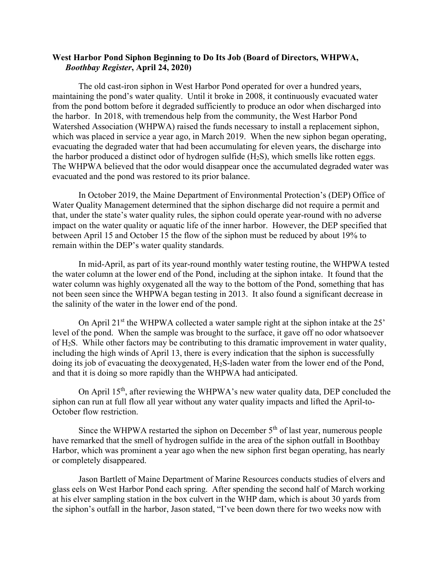## **West Harbor Pond Siphon Beginning to Do Its Job (Board of Directors, WHPWA,**  *Boothbay Register***, April 24, 2020)**

The old cast-iron siphon in West Harbor Pond operated for over a hundred years, maintaining the pond's water quality. Until it broke in 2008, it continuously evacuated water from the pond bottom before it degraded sufficiently to produce an odor when discharged into the harbor. In 2018, with tremendous help from the community, the West Harbor Pond Watershed Association (WHPWA) raised the funds necessary to install a replacement siphon, which was placed in service a year ago, in March 2019. When the new siphon began operating, evacuating the degraded water that had been accumulating for eleven years, the discharge into the harbor produced a distinct odor of hydrogen sulfide  $(H<sub>2</sub>S)$ , which smells like rotten eggs. The WHPWA believed that the odor would disappear once the accumulated degraded water was evacuated and the pond was restored to its prior balance.

In October 2019, the Maine Department of Environmental Protection's (DEP) Office of Water Quality Management determined that the siphon discharge did not require a permit and that, under the state's water quality rules, the siphon could operate year-round with no adverse impact on the water quality or aquatic life of the inner harbor. However, the DEP specified that between April 15 and October 15 the flow of the siphon must be reduced by about 19% to remain within the DEP's water quality standards.

In mid-April, as part of its year-round monthly water testing routine, the WHPWA tested the water column at the lower end of the Pond, including at the siphon intake. It found that the water column was highly oxygenated all the way to the bottom of the Pond, something that has not been seen since the WHPWA began testing in 2013. It also found a significant decrease in the salinity of the water in the lower end of the pond.

On April  $21^{st}$  the WHPWA collected a water sample right at the siphon intake at the  $25'$ level of the pond. When the sample was brought to the surface, it gave off no odor whatsoever of H2S. While other factors may be contributing to this dramatic improvement in water quality, including the high winds of April 13, there is every indication that the siphon is successfully doing its job of evacuating the deoxygenated, H<sub>2</sub>S-laden water from the lower end of the Pond, and that it is doing so more rapidly than the WHPWA had anticipated.

On April 15<sup>th</sup>, after reviewing the WHPWA's new water quality data, DEP concluded the siphon can run at full flow all year without any water quality impacts and lifted the April-to-October flow restriction.

Since the WHPWA restarted the siphon on December  $5<sup>th</sup>$  of last year, numerous people have remarked that the smell of hydrogen sulfide in the area of the siphon outfall in Boothbay Harbor, which was prominent a year ago when the new siphon first began operating, has nearly or completely disappeared.

Jason Bartlett of Maine Department of Marine Resources conducts studies of elvers and glass eels on West Harbor Pond each spring. After spending the second half of March working at his elver sampling station in the box culvert in the WHP dam, which is about 30 yards from the siphon's outfall in the harbor, Jason stated, "I've been down there for two weeks now with